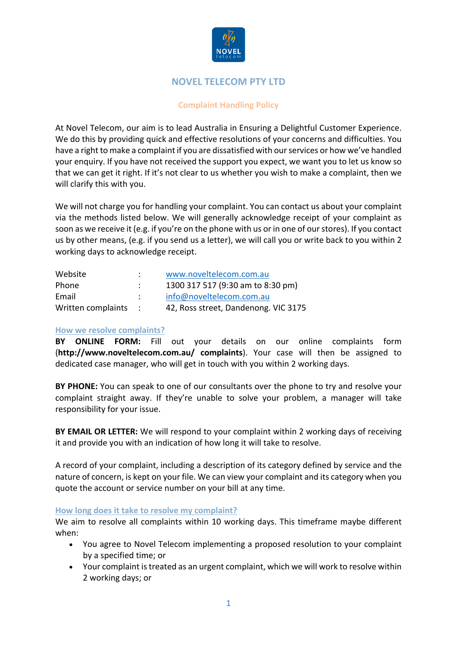

# **NOVEL TELECOM PTY LTD**

## **Complaint Handling Policy**

At Novel Telecom, our aim is to lead Australia in Ensuring a Delightful Customer Experience. We do this by providing quick and effective resolutions of your concerns and difficulties. You have a right to make a complaint if you are dissatisfied with our services or how we've handled your enquiry. If you have not received the support you expect, we want you to let us know so that we can get it right. If it's not clear to us whether you wish to make a complaint, then we will clarify this with you.

We will not charge you for handling your complaint. You can contact us about your complaint via the methods listed below. We will generally acknowledge receipt of your complaint as soon as we receive it (e.g. if you're on the phone with us or in one of our stores). If you contact us by other means, (e.g. if you send us a letter), we will call you or write back to you within 2 working days to acknowledge receipt.

| Website              |               | www.noveltelecom.com.au              |
|----------------------|---------------|--------------------------------------|
| Phone                |               | 1300 317 517 (9:30 am to 8:30 pm)    |
| Email                | $\mathcal{L}$ | info@noveltelecom.com.au             |
| Written complaints : |               | 42, Ross street, Dandenong. VIC 3175 |

### **How we resolve complaints?**

**BY ONLINE FORM:** Fill out your details on our online complaints form (**http://www.noveltelecom.com.au/ complaints**). Your case will then be assigned to dedicated case manager, who will get in touch with you within 2 working days.

**BY PHONE:** You can speak to one of our consultants over the phone to try and resolve your complaint straight away. If they're unable to solve your problem, a manager will take responsibility for your issue.

**BY EMAIL OR LETTER:** We will respond to your complaint within 2 working days of receiving it and provide you with an indication of how long it will take to resolve.

A record of your complaint, including a description of its category defined by service and the nature of concern, is kept on your file. We can view your complaint and its category when you quote the account or service number on your bill at any time.

#### **How long does it take to resolve my complaint?**

We aim to resolve all complaints within 10 working days. This timeframe maybe different when:

- You agree to Novel Telecom implementing a proposed resolution to your complaint by a specified time; or
- Your complaint is treated as an urgent complaint, which we will work to resolve within 2 working days; or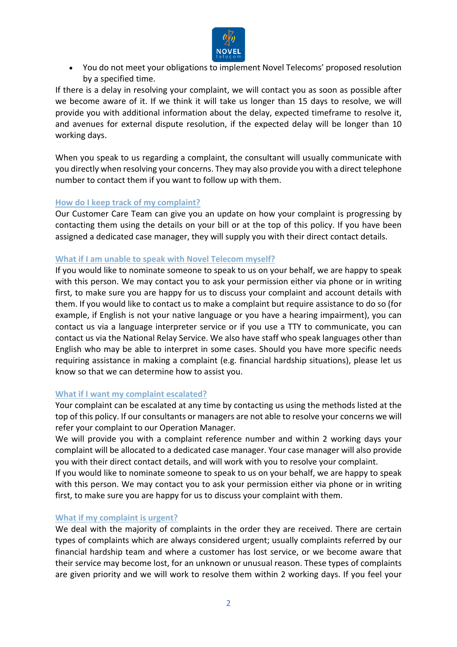

• You do not meet your obligations to implement Novel Telecoms' proposed resolution by a specified time.

If there is a delay in resolving your complaint, we will contact you as soon as possible after we become aware of it. If we think it will take us longer than 15 days to resolve, we will provide you with additional information about the delay, expected timeframe to resolve it, and avenues for external dispute resolution, if the expected delay will be longer than 10 working days.

When you speak to us regarding a complaint, the consultant will usually communicate with you directly when resolving your concerns. They may also provide you with a direct telephone number to contact them if you want to follow up with them.

#### **How do I keep track of my complaint?**

Our Customer Care Team can give you an update on how your complaint is progressing by contacting them using the details on your bill or at the top of this policy. If you have been assigned a dedicated case manager, they will supply you with their direct contact details.

#### **What if I am unable to speak with Novel Telecom myself?**

If you would like to nominate someone to speak to us on your behalf, we are happy to speak with this person. We may contact you to ask your permission either via phone or in writing first, to make sure you are happy for us to discuss your complaint and account details with them. If you would like to contact us to make a complaint but require assistance to do so (for example, if English is not your native language or you have a hearing impairment), you can contact us via a language interpreter service or if you use a TTY to communicate, you can contact us via the National Relay Service. We also have staff who speak languages other than English who may be able to interpret in some cases. Should you have more specific needs requiring assistance in making a complaint (e.g. financial hardship situations), please let us know so that we can determine how to assist you.

#### **What if I want my complaint escalated?**

Your complaint can be escalated at any time by contacting us using the methods listed at the top of this policy. If our consultants or managers are not able to resolve your concerns we will refer your complaint to our Operation Manager.

We will provide you with a complaint reference number and within 2 working days your complaint will be allocated to a dedicated case manager. Your case manager will also provide you with their direct contact details, and will work with you to resolve your complaint.

If you would like to nominate someone to speak to us on your behalf, we are happy to speak with this person. We may contact you to ask your permission either via phone or in writing first, to make sure you are happy for us to discuss your complaint with them.

#### **What if my complaint is urgent?**

We deal with the majority of complaints in the order they are received. There are certain types of complaints which are always considered urgent; usually complaints referred by our financial hardship team and where a customer has lost service, or we become aware that their service may become lost, for an unknown or unusual reason. These types of complaints are given priority and we will work to resolve them within 2 working days. If you feel your